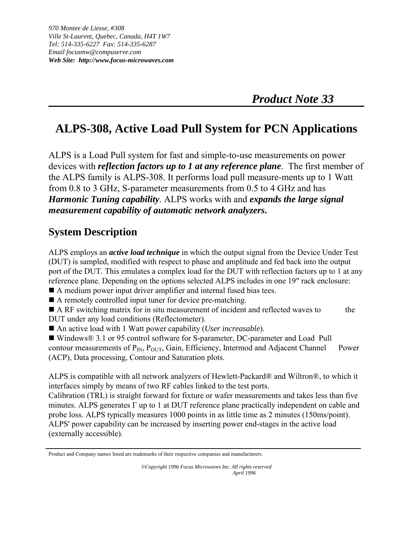# **ALPS-308, Active Load Pull System for PCN Applications**

ALPS is a Load Pull system for fast and simple-to-use measurements on power devices with *reflection factors up to 1 at any reference plane*. The first member of the ALPS family is ALPS-308. It performs load pull measure-ments up to 1 Watt from 0.8 to 3 GHz, S-parameter measurements from 0.5 to 4 GHz and has *Harmonic Tuning capability*. ALPS works with and *expands the large signal measurement capability of automatic network analyzers***.** 

## **System Description**

ALPS employs an *active load technique* in which the output signal from the Device Under Test (DUT) is sampled, modified with respect to phase and amplitude and fed back into the output port of the DUT. This emulates a complex load for the DUT with reflection factors up to 1 at any reference plane. Depending on the options selected ALPS includes in one 19" rack enclosure:

- A medium power input driver amplifier and internal fused bias tees.
- A remotely controlled input tuner for device pre-matching.
- A RF switching matrix for in situ measurement of incident and reflected waves to the DUT under any load conditions (Reflectometer).
- An active load with 1 Watt power capability (*User increasable*).

■ Windows<sup>®</sup> 3.1 or 95 control software for S-parameter, DC-parameter and Load Pull contour measurements of  $P_{IN}$ ,  $P_{OUT}$ , Gain, Efficiency, Intermod and Adjacent Channel Power (ACP), Data processing, Contour and Saturation plots.

ALPS is compatible with all network analyzers of Hewlett-Packard® and Wiltron®, to which it interfaces simply by means of two RF cables linked to the test ports.

Calibration (TRL) is straight forward for fixture or wafer measurements and takes less than five minutes. ALPS generates Γ up to 1 at DUT reference plane practically independent on cable and probe loss. ALPS typically measures 1000 points in as little time as 2 minutes (150ms/point). ALPS' power capability can be increased by inserting power end-stages in the active load (externally accessible).

Product and Company names listed are trademarks of their respective companies and manufacturers.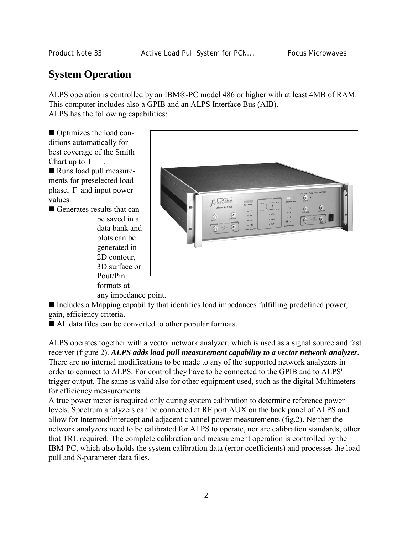## **System Operation**

ALPS operation is controlled by an IBM®-PC model 486 or higher with at least 4MB of RAM. This computer includes also a GPIB and an ALPS Interface Bus (AIB). ALPS has the following capabilities:

■ Optimizes the load conditions automatically for best coverage of the Smith Chart up to  $|\Gamma|=1$ .

Runs load pull measurements for preselected load phase,  $|\Gamma|$  and input power values.

Generates results that can be saved in a data bank and plots can be generated in 2D contour, 3D surface or Pout/Pin formats at any impedance point.



 $\blacksquare$  Includes a Mapping capability that identifies load impedances fulfilling predefined power, gain, efficiency criteria.

■ All data files can be converted to other popular formats.

ALPS operates together with a vector network analyzer, which is used as a signal source and fast receiver (figure 2). *ALPS adds load pull measurement capability to a vector network analyzer***.** There are no internal modifications to be made to any of the supported network analyzers in order to connect to ALPS. For control they have to be connected to the GPIB and to ALPS' trigger output. The same is valid also for other equipment used, such as the digital Multimeters for efficiency measurements.

A true power meter is required only during system calibration to determine reference power levels. Spectrum analyzers can be connected at RF port AUX on the back panel of ALPS and allow for Intermod/intercept and adjacent channel power measurements (fig.2). Neither the network analyzers need to be calibrated for ALPS to operate, nor are calibration standards, other that TRL required. The complete calibration and measurement operation is controlled by the IBM-PC, which also holds the system calibration data (error coefficients) and processes the load pull and S-parameter data files.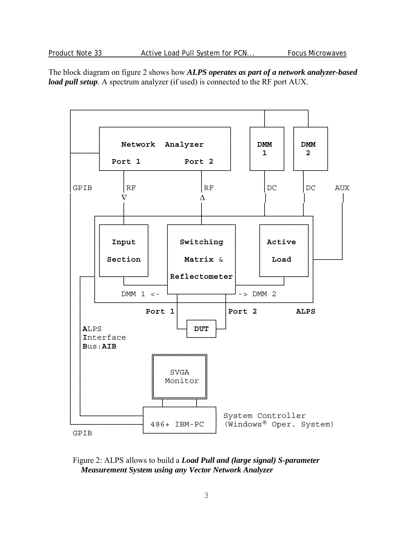The block diagram on figure 2 shows how *ALPS operates as part of a network analyzer-based load pull setup*. A spectrum analyzer (if used) is connected to the RF port AUX.



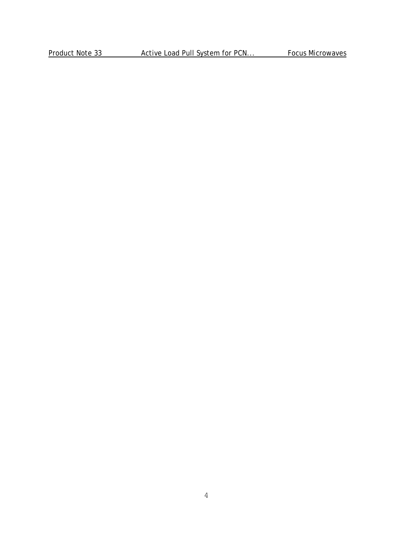Product Note 33 Active Load Pull System for PCN... Focus Microwaves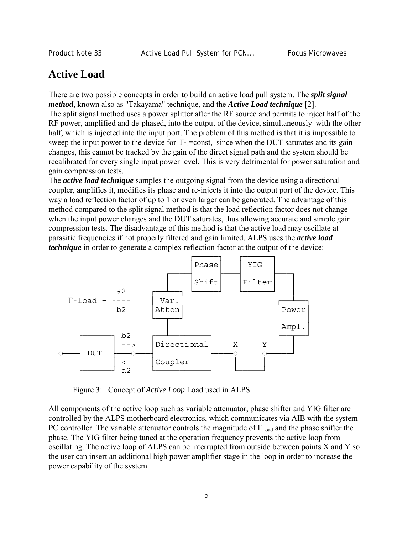### **Active Load**

There are two possible concepts in order to build an active load pull system. The *split signal method*, known also as "Takayama" technique, and the *Active Load technique* [2]. The split signal method uses a power splitter after the RF source and permits to inject half of the RF power, amplified and de-phased, into the output of the device, simultaneously with the other half, which is injected into the input port. The problem of this method is that it is impossible to sweep the input power to the device for  $|\Gamma_L|$ =const, since when the DUT saturates and its gain changes, this cannot be tracked by the gain of the direct signal path and the system should be recalibrated for every single input power level. This is very detrimental for power saturation and gain compression tests.

The *active load technique* samples the outgoing signal from the device using a directional coupler, amplifies it, modifies its phase and re-injects it into the output port of the device. This way a load reflection factor of up to 1 or even larger can be generated. The advantage of this method compared to the split signal method is that the load reflection factor does not change when the input power changes and the DUT saturates, thus allowing accurate and simple gain compression tests. The disadvantage of this method is that the active load may oscillate at parasitic frequencies if not properly filtered and gain limited. ALPS uses the *active load technique* in order to generate a complex reflection factor at the output of the device:



Figure 3: Concept of *Active Loop* Load used in ALPS

All components of the active loop such as variable attenuator, phase shifter and YIG filter are controlled by the ALPS motherboard electronics, which communicates via AIB with the system PC controller. The variable attenuator controls the magnitude of  $\Gamma_{\text{Load}}$  and the phase shifter the phase. The YIG filter being tuned at the operation frequency prevents the active loop from oscillating. The active loop of ALPS can be interrupted from outside between points X and Y so the user can insert an additional high power amplifier stage in the loop in order to increase the power capability of the system.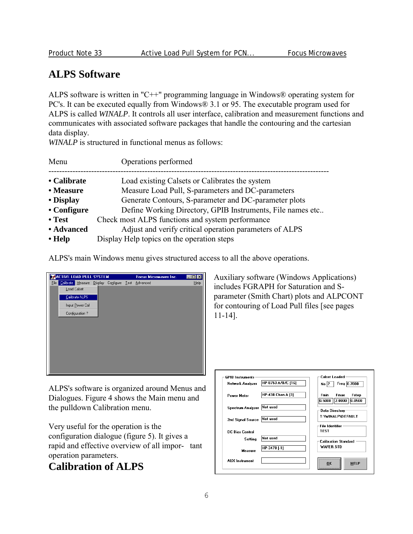## **ALPS Software**

ALPS software is written in "C++" programming language in Windows® operating system for PC's. It can be executed equally from Windows® 3.1 or 95. The executable program used for ALPS is called *WINALP*. It controls all user interface, calibration and measurement functions and communicates with associated software packages that handle the contouring and the cartesian data display.

*WINALP* is structured in functional menus as follows:

| Menu           | Operations performed                                       |  |  |
|----------------|------------------------------------------------------------|--|--|
| • Calibrate    | Load existing Calsets or Calibrates the system             |  |  |
| • Measure      | Measure Load Pull, S-parameters and DC-parameters          |  |  |
| • Display      | Generate Contours, S-parameter and DC-parameter plots      |  |  |
| • Configure    | Define Working Directory, GPIB Instruments, File names etc |  |  |
| $\bullet$ Test | Check most ALPS functions and system performance           |  |  |
| • Advanced     | Adjust and verify critical operation parameters of ALPS    |  |  |
| $\cdot$ Help   | Display Help topics on the operation steps                 |  |  |

ALPS's main Windows menu gives structured access to all the above operations.



Auxiliary software (Windows Applications) includes FGRAPH for Saturation and Sparameter (Smith Chart) plots and ALPCONT for contouring of Load Pull files [see pages 11-14].

ALPS's software is organized around Menus and Dialogues. Figure 4 shows the Main menu and the pulldown Calibration menu.

Very useful for the operation is the configuration dialogue (figure 5). It gives a rapid and effective overview of all impor- tant operation parameters.

## **Calibration of ALPS**

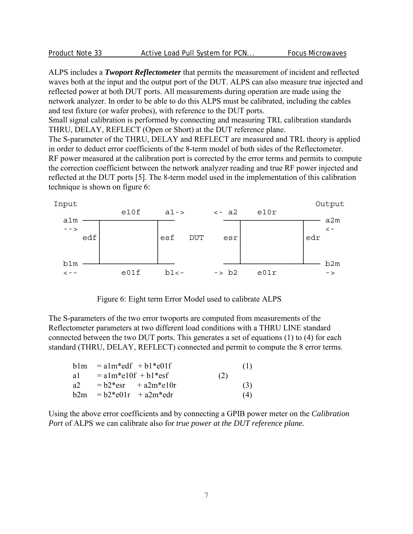ALPS includes a *Twoport Reflectometer* that permits the measurement of incident and reflected waves both at the input and the output port of the DUT. ALPS can also measure true injected and reflected power at both DUT ports. All measurements during operation are made using the network analyzer. In order to be able to do this ALPS must be calibrated, including the cables and test fixture (or wafer probes), with reference to the DUT ports.

Small signal calibration is performed by connecting and measuring TRL calibration standards THRU, DELAY, REFLECT (Open or Short) at the DUT reference plane.

The S-parameter of the THRU, DELAY and REFLECT are measured and TRL theory is applied in order to deduct error coefficients of the 8-term model of both sides of the Reflectometer. RF power measured at the calibration port is corrected by the error terms and permits to compute the correction coefficient between the network analyzer reading and true RF power injected and reflected at the DUT ports [5]. The 8-term model used in the implementation of this calibration technique is shown on figure 6:



Figure 6: Eight term Error Model used to calibrate ALPS

The S-parameters of the two error twoports are computed from measurements of the Reflectometer parameters at two different load conditions with a THRU LINE standard connected between the two DUT ports. This generates a set of equations (1) to (4) for each standard (THRU, DELAY, REFLECT) connected and permit to compute the 8 error terms.

|     | $blm = alm*edf + bl*edf$  | (1) |  |
|-----|---------------------------|-----|--|
| a l | $=$ alm*el0f + bl*esf     | (2) |  |
| a2  | $= b2*est + a2m*el0r$     | (3) |  |
|     | $b2m = b2*e01r + a2m*edr$ | (4) |  |

Using the above error coefficients and by connecting a GPIB power meter on the *Calibration Port* of ALPS we can calibrate also for *true power at the DUT reference plane.*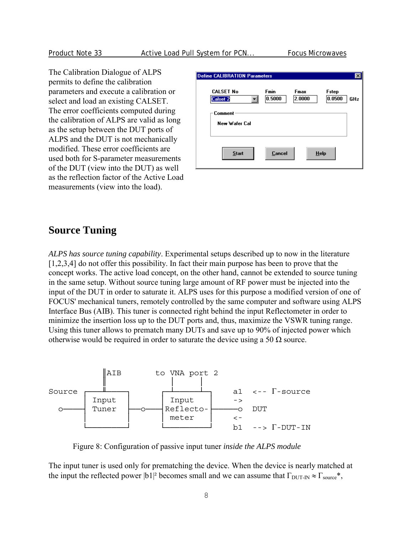The Calibration Dialogue of ALPS permits to define the calibration parameters and execute a calibration or select and load an existing CALSET. The error coefficients computed during the calibration of ALPS are valid as long as the setup between the DUT ports of ALPS and the DUT is not mechanically modified. These error coefficients are used both for S-parameter measurements of the DUT (view into the DUT) as well as the reflection factor of the Active Load measurements (view into the load).

| <b>Define CALIBRATION Parameters</b> |                       |                | $\mathbf{x}$            |
|--------------------------------------|-----------------------|----------------|-------------------------|
| <b>CALSET No</b><br><b>Calset 2</b>  | <b>Fmin</b><br>0.5000 | Fmax<br>2.0000 | Fstep<br> 0.0500<br>GHz |
| <b>Comment</b><br>New Wafer Cal      |                       |                |                         |
| <b>Start</b>                         | <b>Cancel</b>         | Help           |                         |

#### **Source Tuning**

*ALPS has source tuning capability*. Experimental setups described up to now in the literature [1,2,3,4] do not offer this possibility. In fact their main purpose has been to prove that the concept works. The active load concept, on the other hand, cannot be extended to source tuning in the same setup. Without source tuning large amount of RF power must be injected into the input of the DUT in order to saturate it. ALPS uses for this purpose a modified version of one of FOCUS' mechanical tuners, remotely controlled by the same computer and software using ALPS Interface Bus (AIB). This tuner is connected right behind the input Reflectometer in order to minimize the insertion loss up to the DUT ports and, thus, maximize the VSWR tuning range. Using this tuner allows to prematch many DUTs and save up to 90% of injected power which otherwise would be required in order to saturate the device using a 50  $\Omega$  source.



Figure 8: Configuration of passive input tuner *inside the ALPS module*

The input tuner is used only for prematching the device. When the device is nearly matched at the input the reflected power  $|b1|^2$  becomes small and we can assume that  $\Gamma_{\text{DUT-IN}} \approx \Gamma_{\text{source}}^*$ ,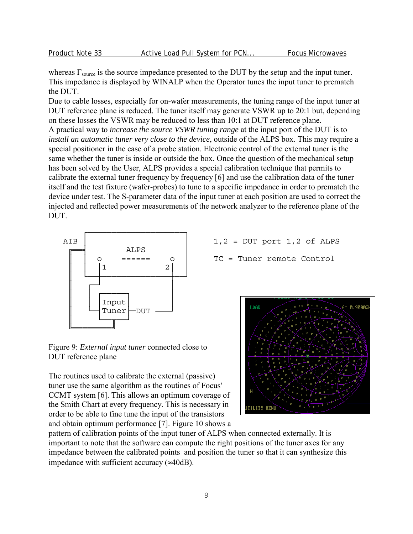whereas  $\Gamma_{\text{source}}$  is the source impedance presented to the DUT by the setup and the input tuner. This impedance is displayed by WINALP when the Operator tunes the input tuner to prematch the DUT.

Due to cable losses, especially for on-wafer measurements, the tuning range of the input tuner at DUT reference plane is reduced. The tuner itself may generate VSWR up to 20:1 but, depending on these losses the VSWR may be reduced to less than 10:1 at DUT reference plane. A practical way to *increase the source VSWR tuning range* at the input port of the DUT is to *install an automatic tuner very close to the device*, outside of the ALPS box. This may require a special positioner in the case of a probe station. Electronic control of the external tuner is the same whether the tuner is inside or outside the box. Once the question of the mechanical setup has been solved by the User, ALPS provides a special calibration technique that permits to calibrate the external tuner frequency by frequency [6] and use the calibration data of the tuner itself and the test fixture (wafer-probes) to tune to a specific impedance in order to prematch the device under test. The S-parameter data of the input tuner at each position are used to correct the injected and reflected power measurements of the network analyzer to the reference plane of the DUT.



Figure 9: *External input tuner* connected close to DUT reference plane

The routines used to calibrate the external (passive) tuner use the same algorithm as the routines of Focus' CCMT system [6]. This allows an optimum coverage of the Smith Chart at every frequency. This is necessary in order to be able to fine tune the input of the transistors and obtain optimum performance [7]. Figure 10 shows a

║ │ o ====== o │ TC = Tuner remote Control



pattern of calibration points of the input tuner of ALPS when connected externally. It is important to note that the software can compute the right positions of the tuner axes for any impedance between the calibrated points and position the tuner so that it can synthesize this impedance with sufficient accuracy (≈40dB).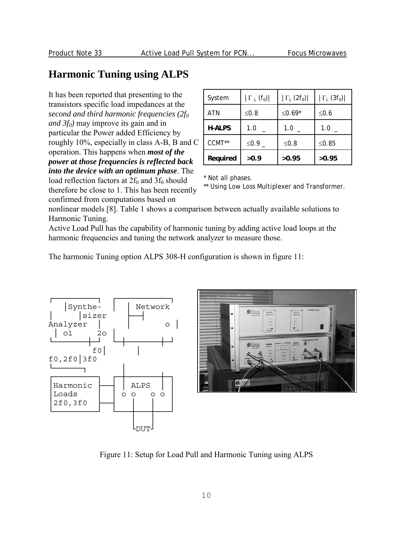### **Harmonic Tuning using ALPS**

It has been reported that presenting to the transistors specific load impedances at the *second and third harmonic frequencies (2f0 and 3f<sub>0</sub>*) may improve its gain and in particular the Power added Efficiency by roughly 10%, especially in class A-B, B and C operation. This happens when *most of the power at those frequencies is reflected back into the device with an optimum phase*. The load reflection factors at  $2f_0$  and  $3f_0$  should therefore be close to 1. This has been recently

confirmed from computations based on

| System        | $ \Gamma_L(f_0) $ | $ \Gamma_L(2f_0) $ | $ \Gamma_L$ (3f <sub>0</sub> ) $ $ |
|---------------|-------------------|--------------------|------------------------------------|
| ATN           | ≤ $0.8$           | $\leq 0.69*$       | $\leq 0.6$                         |
| <b>H-ALPS</b> | 1.0               | 1.0                | 1.0                                |
| CCMT**        | ≤ $0.9$           | ≤0.8               | $\leq 0.85$                        |
| Required      | >0.9              | >0.95              | >0.95                              |

\* Not all phases.

\*\* Using Low Loss Multiplexer and Transformer.

nonlinear models [8]. Table 1 shows a comparison between actually available solutions to Harmonic Tuning.

Active Load Pull has the capability of harmonic tuning by adding active load loops at the harmonic frequencies and tuning the network analyzer to measure those.

The harmonic Tuning option ALPS 308-H configuration is shown in figure 11:





Figure 11: Setup for Load Pull and Harmonic Tuning using ALPS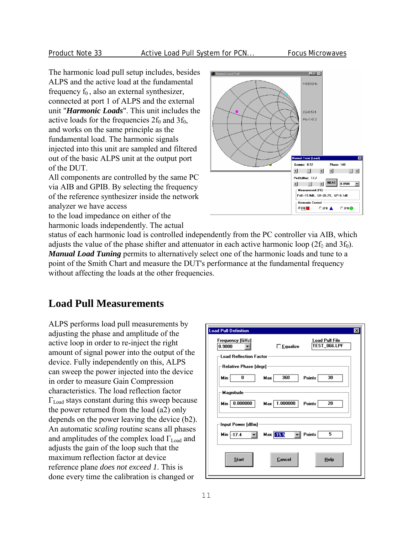The harmonic load pull setup includes, besides ALPS and the active load at the fundamental frequency  $f_0$ , also an external synthesizer, connected at port 1 of ALPS and the external unit "*Harmonic Loads*". This unit includes the active loads for the frequencies  $2f_0$  and  $3f_0$ , and works on the same principle as the fundamental load. The harmonic signals injected into this unit are sampled and filtered out of the basic ALPS unit at the output port of the DUT.

All components are controlled by the same PC via AIB and GPIB. By selecting the frequency of the reference synthesizer inside the network analyzer we have access

to the load impedance on either of the

harmonic loads independently. The actual



status of each harmonic load is controlled independently from the PC controller via AIB, which adjusts the value of the phase shifter and attenuator in each active harmonic loop ( $2f_0$  and  $3f_0$ ). *Manual Load Tuning* permits to alternatively select one of the harmonic loads and tune to a point of the Smith Chart and measure the DUT's performance at the fundamental frequency without affecting the loads at the other frequencies.

## **Load Pull Measurements**

ALPS performs load pull measurements by adjusting the phase and amplitude of the active loop in order to re-inject the right amount of signal power into the output of the device. Fully independently on this, ALPS can sweep the power injected into the device in order to measure Gain Compression characteristics. The load reflection factor  $\Gamma_{\text{Load}}$  stays constant during this sweep because the power returned from the load (a2) only depends on the power leaving the device (b2). An automatic *scaling* routine scans all phases and amplitudes of the complex load  $\Gamma_{\text{Load}}$  and adjusts the gain of the loop such that the maximum reflection factor at device reference plane *does not exceed 1*. This is done every time the calibration is changed or

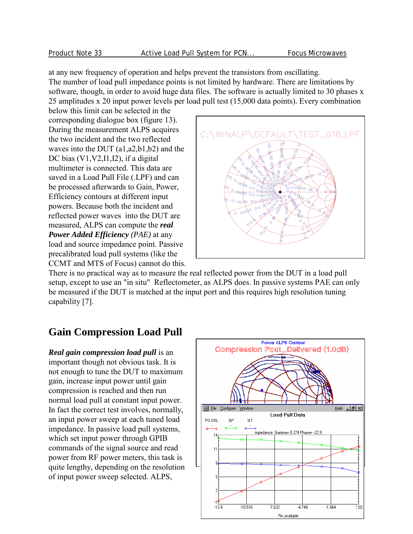at any new frequency of operation and helps prevent the transistors from oscillating. The number of load pull impedance points is not limited by hardware. There are limitations by software, though, in order to avoid huge data files. The software is actually limited to 30 phases x 25 amplitudes x 20 input power levels per load pull test (15,000 data points). Every combination

below this limit can be selected in the corresponding dialogue box (figure 13). During the measurement ALPS acquires the two incident and the two reflected waves into the DUT (a1,a2,b1,b2) and the DC bias (V1, V2, I1, I2), if a digital multimeter is connected. This data are saved in a Load Pull File (.LPF) and can be processed afterwards to Gain, Power, Efficiency contours at different input powers. Because both the incident and reflected power waves into the DUT are measured, ALPS can compute the *real Power Added Efficiency (PAE)* at any load and source impedance point. Passive precalibrated load pull systems (like the CCMT and MTS of Focus) cannot do this.



There is no practical way as to measure the real reflected power from the DUT in a load pull setup, except to use an "in situ" Reflectometer, as ALPS does. In passive systems PAE can only be measured if the DUT is matched at the input port and this requires high resolution tuning capability [7].

## **Gain Compression Load Pull**

*Real gain compression load pull* is an important though not obvious task. It is not enough to tune the DUT to maximum gain, increase input power until gain compression is reached and then run normal load pull at constant input power. In fact the correct test involves, normally, an input power sweep at each tuned load impedance. In passive load pull systems, which set input power through GPIB commands of the signal source and read power from RF power meters, this task is quite lengthy, depending on the resolution of input power sweep selected. ALPS,

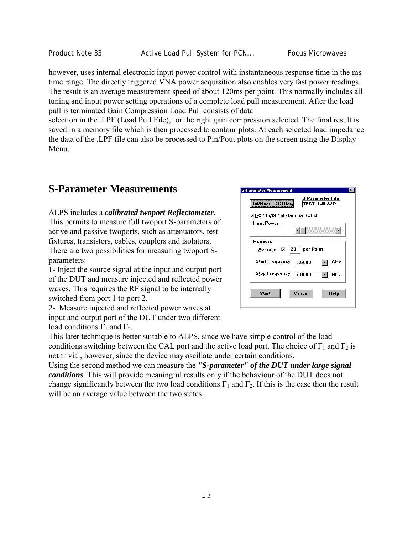however, uses internal electronic input power control with instantaneous response time in the ms time range. The directly triggered VNA power acquisition also enables very fast power readings. The result is an average measurement speed of about 120ms per point. This normally includes all tuning and input power setting operations of a complete load pull measurement. After the load pull is terminated Gain Compression Load Pull consists of data

selection in the .LPF (Load Pull File), for the right gain compression selected. The final result is saved in a memory file which is then processed to contour plots. At each selected load impedance the data of the .LPF file can also be processed to Pin/Pout plots on the screen using the Display Menu.

## **S-Parameter Measurements**

#### ALPS includes a *calibrated twoport Reflectometer*.

This permits to measure full twoport S-parameters of active and passive twoports, such as attenuators, test fixtures, transistors, cables, couplers and isolators. There are two possibilities for measuring twoport Sparameters:

1- Inject the source signal at the input and output port of the DUT and measure injected and reflected power waves. This requires the RF signal to be internally switched from port 1 to port 2.

2- Measure injected and reflected power waves at input and output port of the DUT under two different load conditions  $\Gamma_1$  and  $\Gamma_2$ .

| <b>S-Parameter Measurement</b>                              | $\overline{\mathbf{x}}$ |
|-------------------------------------------------------------|-------------------------|
| S Parameter File<br>Set/Read DC Bias<br><b>TEST 148.S2P</b> |                         |
| <b>☑ DC 'On/Off' at Gamma Switch</b>                        |                         |
| Input Power-                                                |                         |
| Measure                                                     |                         |
| 20<br>per <u>P</u> oint<br>Average ⊠                        |                         |
| Start Erequency<br>GHz<br> 0.5000                           |                         |
| Stop Frequency<br>4.0000<br>GHz                             |                         |
| Cancel<br>Help<br><b>Start</b>                              |                         |
|                                                             |                         |
|                                                             |                         |

This later technique is better suitable to ALPS, since we have simple control of the load conditions switching between the CAL port and the active load port. The choice of  $\Gamma_1$  and  $\Gamma_2$  is not trivial, however, since the device may oscillate under certain conditions.

Using the second method we can measure the *"S-parameter" of the DUT under large signal conditions*. This will provide meaningful results only if the behaviour of the DUT does not change significantly between the two load conditions  $\Gamma_1$  and  $\Gamma_2$ . If this is the case then the result will be an average value between the two states.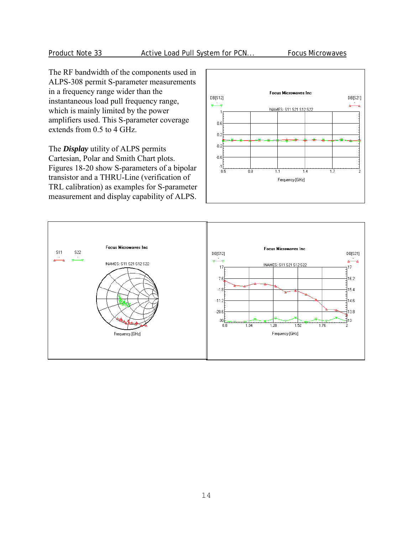The RF bandwidth of the components used in ALPS-308 permit S-parameter measurements in a frequency range wider than the instantaneous load pull frequency range, which is mainly limited by the power amplifiers used. This S-parameter coverage extends from 0.5 to 4 GHz.

The *Display* utility of ALPS permits Cartesian, Polar and Smith Chart plots. Figures 18-20 show S-parameters of a bipolar transistor and a THRU-Line (verification of TRL calibration) as examples for S-parameter measurement and display capability of ALPS.



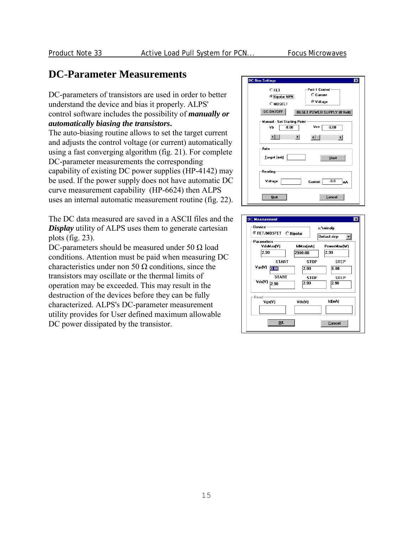#### **DC-Parameter Measurements**

DC-parameters of transistors are used in order to better understand the device and bias it properly. ALPS' control software includes the possibility of *manually or automatically biasing the transistors***.**

The auto-biasing routine allows to set the target current and adjusts the control voltage (or current) automatically using a fast converging algorithm (fig. 21). For complete DC-parameter measurements the corresponding capability of existing DC power supplies (HP-4142) may be used. If the power supply does not have automatic DC curve measurement capability (HP-6624) then ALPS uses an internal automatic measurement routine (fig. 22).

The DC data measured are saved in a ASCII files and the *Display* utility of ALPS uses them to generate cartesian plots (fig. 23).

DC-parameters should be measured under 50  $\Omega$  load conditions. Attention must be paid when measuring DC characteristics under non 50  $\Omega$  conditions, since the transistors may oscillate or the thermal limits of operation may be exceeded. This may result in the destruction of the devices before they can be fully characterized. ALPS's DC-parameter measurement utility provides for User defined maximum allowable DC power dissipated by the transistor.

| <b>DC Bias Settings</b><br>$\overline{\mathbf{z}}$                                                                                         |
|--------------------------------------------------------------------------------------------------------------------------------------------|
| Port-1 Control<br>$C$ FET<br>C Current<br><b>C</b> Bipolar NPN<br>© Voltage<br><b>O MOSFET</b><br>DC ON/OFF<br>RESET POWER SUPPLY (0 Volt) |
| Manual - Set Starting Point-<br>Vce<br>$-0.00$<br>Vb<br>$-0.00$                                                                            |
| Auto<br>Target [mA]<br><b>Start</b>                                                                                                        |
| Reading<br>$-0.0$<br>Voltage<br>Current<br>mA                                                                                              |
| Quit<br>Cancel                                                                                                                             |

| <b>DC</b> Measurement |             | $\overline{\mathbf{x}}$ |
|-----------------------|-------------|-------------------------|
| Device                |             | c:\winalp               |
| © FET/MOSFET          | ○ Bipolar   | Defaut.dcp              |
| <b>Parameters</b>     |             |                         |
| VdsMax(V)             | IdMax(mA)   | PowerMax(W)             |
| 2.90                  | 2900.00     | 2.90                    |
| <b>START</b>          | <b>STOP</b> | <b>STEP</b>             |
| Vgs(V)<br> 0.00       | 2.90        | 0.00                    |
| <b>START</b>          | <b>STOP</b> | <b>STEP</b>             |
| Vds(V)<br>2.90        | 2.90        | 2.90                    |
| Read                  |             |                         |
| Vgs[V]                | Vds[V]      | ld(mA)                  |
|                       |             |                         |
| OK                    |             | <b>Cancel</b>           |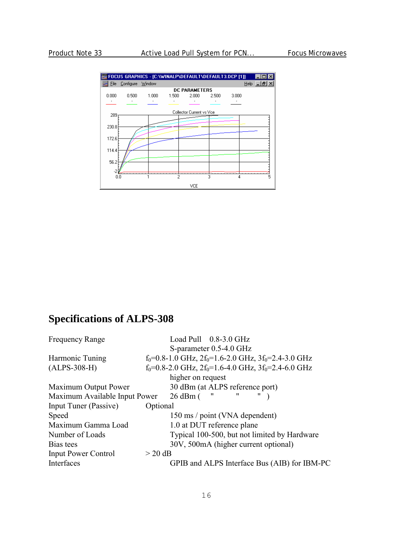

# **Specifications of ALPS-308**

| <b>Frequency Range</b>        | Load Pull 0.8-3.0 GHz                                     |
|-------------------------------|-----------------------------------------------------------|
|                               | S-parameter 0.5-4.0 GHz                                   |
| Harmonic Tuning               | $f_0=0.8-1.0$ GHz, $2f_0=1.6-2.0$ GHz, $3f_0=2.4-3.0$ GHz |
| $(ALPS-308-H)$                | $f_0=0.8-2.0$ GHz, $2f_0=1.6-4.0$ GHz, $3f_0=2.4-6.0$ GHz |
|                               | higher on request                                         |
| Maximum Output Power          | 30 dBm (at ALPS reference port)                           |
| Maximum Available Input Power | $26$ dBm ( $"$                                            |
| Input Tuner (Passive)         | Optional                                                  |
| Speed                         | 150 ms / point (VNA dependent)                            |
| Maximum Gamma Load            | 1.0 at DUT reference plane                                |
| Number of Loads               | Typical 100-500, but not limited by Hardware              |
| Bias tees                     | 30V, 500mA (higher current optional)                      |
| <b>Input Power Control</b>    | $>$ 20 dB                                                 |
| Interfaces                    | GPIB and ALPS Interface Bus (AIB) for IBM-PC              |
|                               |                                                           |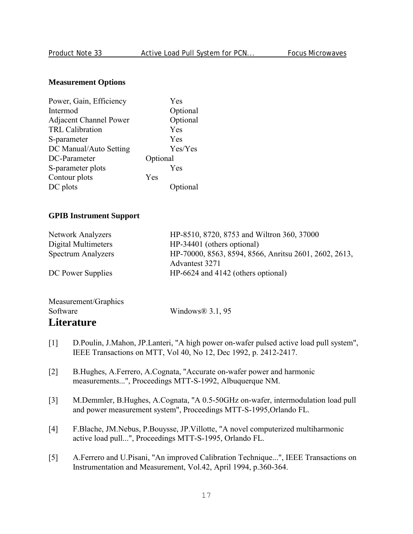#### **Measurement Options**

| Power, Gain, Efficiency       | Yes      |
|-------------------------------|----------|
| Intermod                      | Optional |
| <b>Adjacent Channel Power</b> | Optional |
| <b>TRL Calibration</b>        | Yes      |
| S-parameter                   | Yes      |
| DC Manual/Auto Setting        | Yes/Yes  |
| DC-Parameter                  | Optional |
| S-parameter plots             | Yes      |
| Contour plots                 | Yes      |
| DC plots                      | tional   |

#### **GPIB Instrument Support**

| <b>Network Analyzers</b>  | HP-8510, 8720, 8753 and Wiltron 360, 37000                              |
|---------------------------|-------------------------------------------------------------------------|
| Digital Multimeters       | HP-34401 (others optional)                                              |
| <b>Spectrum Analyzers</b> | HP-70000, 8563, 8594, 8566, Anritsu 2601, 2602, 2613,<br>Advantest 3271 |
| DC Power Supplies         | HP-6624 and 4142 (others optional)                                      |

| Measurement/Graphics |  |
|----------------------|--|
| Software             |  |
| <b>Literature</b>    |  |

[1] D.Poulin, J.Mahon, JP.Lanteri, "A high power on-wafer pulsed active load pull system", IEEE Transactions on MTT, Vol 40, No 12, Dec 1992, p. 2412-2417.

Windows $\mathbb{R}$  3.1, 95

- [2] B.Hughes, A.Ferrero, A.Cognata, "Accurate on-wafer power and harmonic measurements...", Proceedings MTT-S-1992, Albuquerque NM.
- [3] M.Demmler, B.Hughes, A.Cognata, "A 0.5-50GHz on-wafer, intermodulation load pull and power measurement system", Proceedings MTT-S-1995,Orlando FL.
- [4] F.Blache, JM.Nebus, P.Bouysse, JP.Villotte, "A novel computerized multiharmonic active load pull...", Proceedings MTT-S-1995, Orlando FL.
- [5] A.Ferrero and U.Pisani, "An improved Calibration Technique...", IEEE Transactions on Instrumentation and Measurement, Vol.42, April 1994, p.360-364.